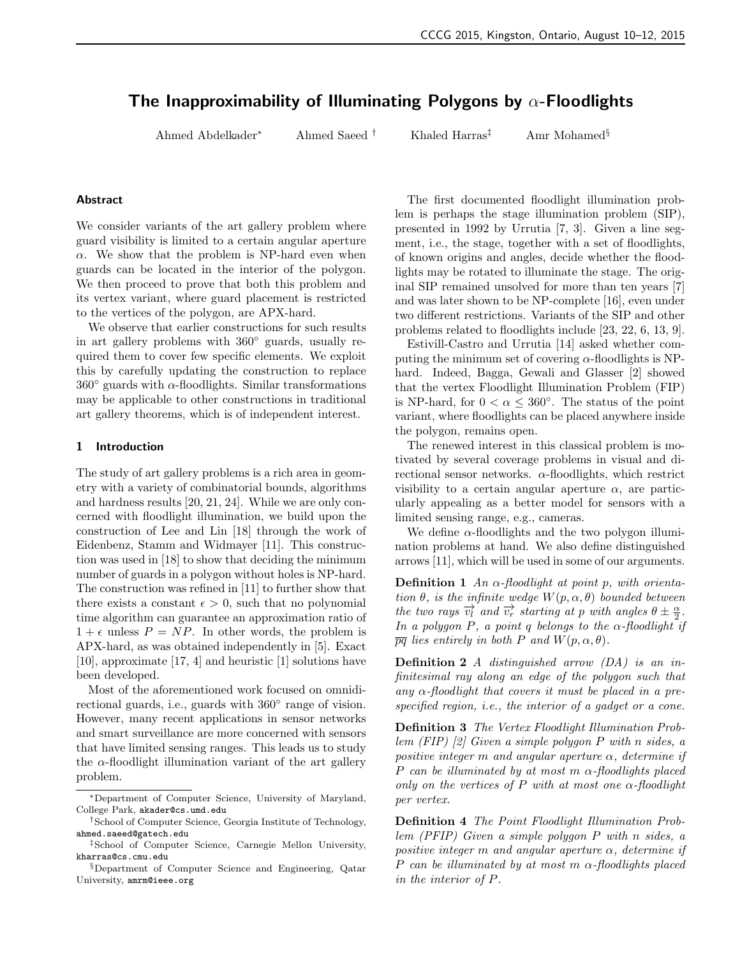# The Inapproximability of Illuminating Polygons by  $\alpha$ -Floodlights

Ahmed Abdelkader<sup>∗</sup> Ahmed Saeed † Khaled Harras‡ Amr Mohamed§

#### Abstract

We consider variants of the art gallery problem where guard visibility is limited to a certain angular aperture  $\alpha$ . We show that the problem is NP-hard even when guards can be located in the interior of the polygon. We then proceed to prove that both this problem and its vertex variant, where guard placement is restricted to the vertices of the polygon, are APX-hard.

We observe that earlier constructions for such results in art gallery problems with 360◦ guards, usually required them to cover few specific elements. We exploit this by carefully updating the construction to replace  $360°$  guards with  $\alpha$ -floodlights. Similar transformations may be applicable to other constructions in traditional art gallery theorems, which is of independent interest.

## 1 Introduction

The study of art gallery problems is a rich area in geometry with a variety of combinatorial bounds, algorithms and hardness results [20, 21, 24]. While we are only concerned with floodlight illumination, we build upon the construction of Lee and Lin [18] through the work of Eidenbenz, Stamm and Widmayer [11]. This construction was used in [18] to show that deciding the minimum number of guards in a polygon without holes is NP-hard. The construction was refined in [11] to further show that there exists a constant  $\epsilon > 0$ , such that no polynomial time algorithm can guarantee an approximation ratio of  $1 + \epsilon$  unless  $P = NP$ . In other words, the problem is APX-hard, as was obtained independently in [5]. Exact [10], approximate [17, 4] and heuristic [1] solutions have been developed.

Most of the aforementioned work focused on omnidirectional guards, i.e., guards with 360° range of vision. However, many recent applications in sensor networks and smart surveillance are more concerned with sensors that have limited sensing ranges. This leads us to study the  $\alpha$ -floodlight illumination variant of the art gallery problem.

The first documented floodlight illumination problem is perhaps the stage illumination problem (SIP), presented in 1992 by Urrutia [7, 3]. Given a line segment, i.e., the stage, together with a set of floodlights, of known origins and angles, decide whether the floodlights may be rotated to illuminate the stage. The original SIP remained unsolved for more than ten years [7] and was later shown to be NP-complete [16], even under two different restrictions. Variants of the SIP and other problems related to floodlights include [23, 22, 6, 13, 9].

Estivill-Castro and Urrutia [14] asked whether computing the minimum set of covering  $\alpha$ -floodlights is NPhard. Indeed, Bagga, Gewali and Glasser [2] showed that the vertex Floodlight Illumination Problem (FIP) is NP-hard, for  $0 < \alpha \leq 360^{\circ}$ . The status of the point variant, where floodlights can be placed anywhere inside the polygon, remains open.

The renewed interest in this classical problem is motivated by several coverage problems in visual and directional sensor networks.  $\alpha$ -floodlights, which restrict visibility to a certain angular aperture  $\alpha$ , are particularly appealing as a better model for sensors with a limited sensing range, e.g., cameras.

We define  $\alpha$ -floodlights and the two polygon illumination problems at hand. We also define distinguished arrows [11], which will be used in some of our arguments.

**Definition 1** An  $\alpha$ -floodlight at point p, with orientation  $\theta$ , is the infinite wedge  $W(p, \alpha, \theta)$  bounded between the two rays  $\overrightarrow{v_i}$  and  $\overrightarrow{v_r}$  starting at p with angles  $\theta \pm \frac{\alpha}{2}$ . In a polygon P, a point q belongs to the  $\alpha$ -floodlight if  $\overline{pq}$  lies entirely in both P and  $W(p, \alpha, \theta)$ .

**Definition 2** A distinguished arrow  $(DA)$  is an infinitesimal ray along an edge of the polygon such that any  $\alpha$ -floodlight that covers it must be placed in a prespecified region, i.e., the interior of a gadget or a cone.

Definition 3 The Vertex Floodlight Illumination Problem (FIP) [2] Given a simple polygon P with n sides, a positive integer m and angular aperture  $\alpha$ , determine if P can be illuminated by at most m  $\alpha$ -floodlights placed only on the vertices of P with at most one  $\alpha$ -floodlight per vertex.

Definition 4 The Point Floodlight Illumination Problem (PFIP) Given a simple polygon P with n sides, a positive integer m and angular aperture  $\alpha$ , determine if P can be illuminated by at most m  $\alpha$ -floodlights placed in the interior of P.

<sup>∗</sup>Department of Computer Science, University of Maryland, College Park, akader@cs.umd.edu

<sup>†</sup>School of Computer Science, Georgia Institute of Technology, ahmed.saeed@gatech.edu

<sup>‡</sup>School of Computer Science, Carnegie Mellon University, kharras@cs.cmu.edu

<sup>§</sup>Department of Computer Science and Engineering, Qatar University, amrm@ieee.org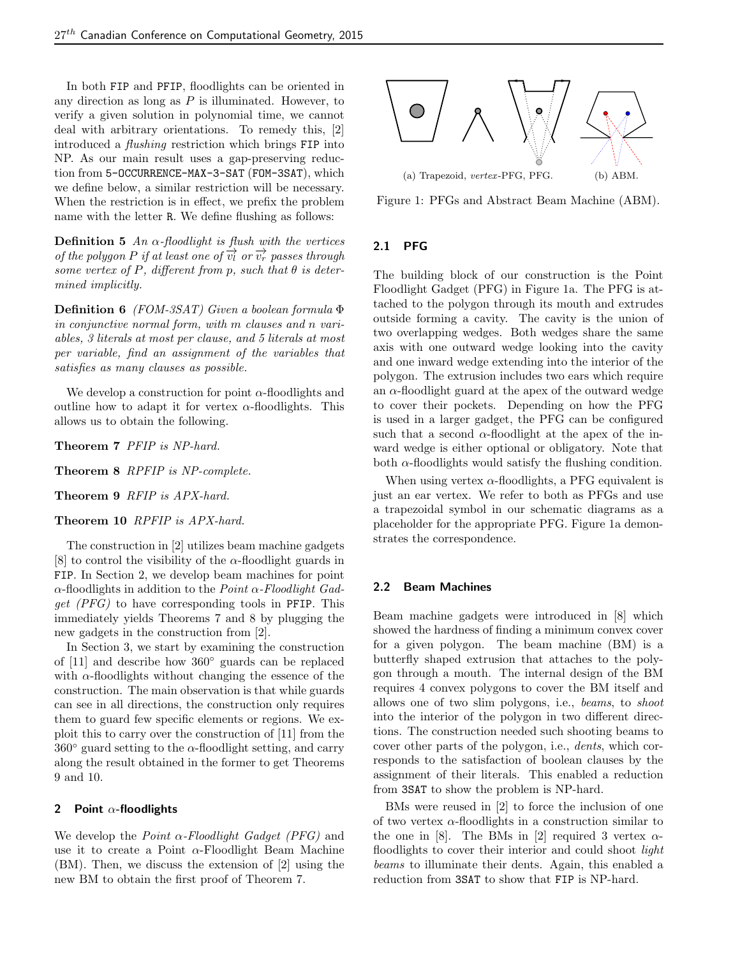In both FIP and PFIP, floodlights can be oriented in any direction as long as  $P$  is illuminated. However, to verify a given solution in polynomial time, we cannot deal with arbitrary orientations. To remedy this, [2] introduced a flushing restriction which brings FIP into NP. As our main result uses a gap-preserving reduction from 5-OCCURRENCE-MAX-3-SAT (FOM-3SAT), which we define below, a similar restriction will be necessary. When the restriction is in effect, we prefix the problem name with the letter R. We define flushing as follows:

**Definition 5** An  $\alpha$ -floodlight is flush with the vertices of the polygon P if at least one of  $\overrightarrow{v_l}$  or  $\overrightarrow{v_r}$  passes through some vertex of P, different from p, such that  $\theta$  is determined implicitly.

Definition 6 (FOM-3SAT) Given a boolean formula Φ in conjunctive normal form, with m clauses and n variables, 3 literals at most per clause, and 5 literals at most per variable, find an assignment of the variables that satisfies as many clauses as possible.

We develop a construction for point  $\alpha$ -floodlights and outline how to adapt it for vertex  $\alpha$ -floodlights. This allows us to obtain the following.

Theorem 7 PFIP is NP-hard.

Theorem 8 RPFIP is NP-complete.

Theorem 9 RFIP is APX-hard.

Theorem 10 RPFIP is APX-hard.

The construction in [2] utilizes beam machine gadgets [8] to control the visibility of the  $\alpha$ -floodlight guards in FIP. In Section 2, we develop beam machines for point  $\alpha$ -floodlights in addition to the *Point*  $\alpha$ -*Floodlight Gad* $get$  (PFG) to have corresponding tools in PFIP. This immediately yields Theorems 7 and 8 by plugging the new gadgets in the construction from [2].

In Section 3, we start by examining the construction of [11] and describe how 360◦ guards can be replaced with  $\alpha$ -floodlights without changing the essence of the construction. The main observation is that while guards can see in all directions, the construction only requires them to guard few specific elements or regions. We exploit this to carry over the construction of [11] from the  $360°$  guard setting to the  $\alpha$ -floodlight setting, and carry along the result obtained in the former to get Theorems 9 and 10.

# 2 Point  $\alpha$ -floodlights

We develop the *Point*  $\alpha$ -*Floodlight Gadget (PFG)* and use it to create a Point  $\alpha$ -Floodlight Beam Machine (BM). Then, we discuss the extension of [2] using the new BM to obtain the first proof of Theorem 7.



Figure 1: PFGs and Abstract Beam Machine (ABM).

# 2.1 PFG

The building block of our construction is the Point Floodlight Gadget (PFG) in Figure 1a. The PFG is attached to the polygon through its mouth and extrudes outside forming a cavity. The cavity is the union of two overlapping wedges. Both wedges share the same axis with one outward wedge looking into the cavity and one inward wedge extending into the interior of the polygon. The extrusion includes two ears which require an  $\alpha$ -floodlight guard at the apex of the outward wedge to cover their pockets. Depending on how the PFG is used in a larger gadget, the PFG can be configured such that a second  $\alpha$ -floodlight at the apex of the inward wedge is either optional or obligatory. Note that both  $\alpha$ -floodlights would satisfy the flushing condition.

When using vertex  $\alpha$ -floodlights, a PFG equivalent is just an ear vertex. We refer to both as PFGs and use a trapezoidal symbol in our schematic diagrams as a placeholder for the appropriate PFG. Figure 1a demonstrates the correspondence.

#### 2.2 Beam Machines

Beam machine gadgets were introduced in [8] which showed the hardness of finding a minimum convex cover for a given polygon. The beam machine (BM) is a butterfly shaped extrusion that attaches to the polygon through a mouth. The internal design of the BM requires 4 convex polygons to cover the BM itself and allows one of two slim polygons, i.e., beams, to shoot into the interior of the polygon in two different directions. The construction needed such shooting beams to cover other parts of the polygon, i.e., dents, which corresponds to the satisfaction of boolean clauses by the assignment of their literals. This enabled a reduction from 3SAT to show the problem is NP-hard.

BMs were reused in [2] to force the inclusion of one of two vertex  $\alpha$ -floodlights in a construction similar to the one in [8]. The BMs in [2] required 3 vertex  $\alpha$ floodlights to cover their interior and could shoot *light* beams to illuminate their dents. Again, this enabled a reduction from 3SAT to show that FIP is NP-hard.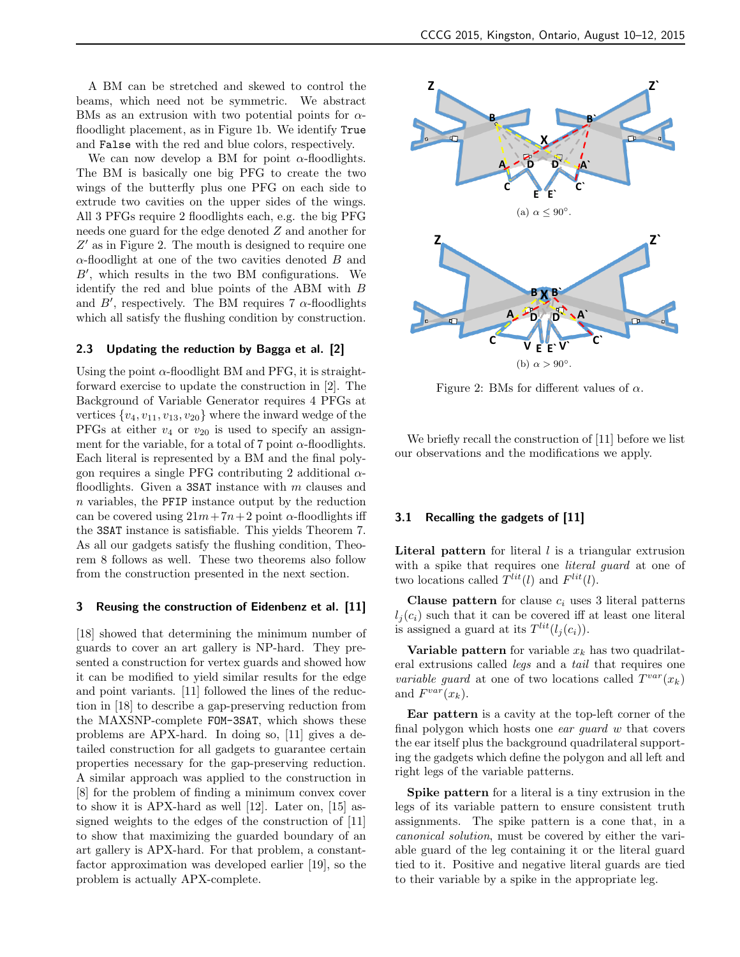A BM can be stretched and skewed to control the beams, which need not be symmetric. We abstract BMs as an extrusion with two potential points for  $\alpha$ floodlight placement, as in Figure 1b. We identify True and False with the red and blue colors, respectively.

We can now develop a BM for point  $\alpha$ -floodlights. The BM is basically one big PFG to create the two wings of the butterfly plus one PFG on each side to extrude two cavities on the upper sides of the wings. All 3 PFGs require 2 floodlights each, e.g. the big PFG needs one guard for the edge denoted Z and another for  $Z'$  as in Figure 2. The mouth is designed to require one  $\alpha$ -floodlight at one of the two cavities denoted  $B$  and  $B'$ , which results in the two BM configurations. We identify the red and blue points of the ABM with B and  $B'$ , respectively. The BM requires 7  $\alpha$ -floodlights which all satisfy the flushing condition by construction.

#### 2.3 Updating the reduction by Bagga et al. [2]

Using the point  $\alpha$ -floodlight BM and PFG, it is straightforward exercise to update the construction in [2]. The Background of Variable Generator requires 4 PFGs at vertices  $\{v_4, v_{11}, v_{13}, v_{20}\}$  where the inward wedge of the PFGs at either  $v_4$  or  $v_{20}$  is used to specify an assignment for the variable, for a total of 7 point  $\alpha$ -floodlights. Each literal is represented by a BM and the final polygon requires a single PFG contributing 2 additional  $\alpha$ floodlights. Given a 3SAT instance with  $m$  clauses and  $n$  variables, the PFIP instance output by the reduction can be covered using  $21m + 7n + 2$  point  $\alpha$ -floodlights iff the 3SAT instance is satisfiable. This yields Theorem 7. As all our gadgets satisfy the flushing condition, Theorem 8 follows as well. These two theorems also follow from the construction presented in the next section.

#### 3 Reusing the construction of Eidenbenz et al. [11]

[18] showed that determining the minimum number of guards to cover an art gallery is NP-hard. They presented a construction for vertex guards and showed how it can be modified to yield similar results for the edge and point variants. [11] followed the lines of the reduction in [18] to describe a gap-preserving reduction from the MAXSNP-complete FOM-3SAT, which shows these problems are APX-hard. In doing so, [11] gives a detailed construction for all gadgets to guarantee certain properties necessary for the gap-preserving reduction. A similar approach was applied to the construction in [8] for the problem of finding a minimum convex cover to show it is APX-hard as well [12]. Later on, [15] assigned weights to the edges of the construction of [11] to show that maximizing the guarded boundary of an art gallery is APX-hard. For that problem, a constantfactor approximation was developed earlier [19], so the The BM is a second by two reasonable to the contract of the second between the second between the second by two reasons of the second by two reasons of the second by the second by the second by the second of the second of



Figure 2: BMs for different values of  $\alpha$ .

We briefly recall the construction of [11] before we list our observations and the modifications we apply.

## 3.1 Recalling the gadgets of [11]

**Literal pattern** for literal  $l$  is a triangular extrusion with a spike that requires one *literal guard* at one of two locations called  $T^{lit}(l)$  and  $F^{lit}(l)$ .

Clause pattern for clause  $c_i$  uses 3 literal patterns  $l_i(c_i)$  such that it can be covered iff at least one literal is assigned a guard at its  $T^{lit}(l_j(c_i)).$ 

Variable pattern for variable  $x_k$  has two quadrilateral extrusions called legs and a tail that requires one variable guard at one of two locations called  $T^{var}(x_k)$ and  $F^{var}(x_k)$ .

Ear pattern is a cavity at the top-left corner of the final polygon which hosts one ear guard w that covers the ear itself plus the background quadrilateral supporting the gadgets which define the polygon and all left and right legs of the variable patterns.

Spike pattern for a literal is a tiny extrusion in the legs of its variable pattern to ensure consistent truth assignments. The spike pattern is a cone that, in a canonical solution, must be covered by either the variable guard of the leg containing it or the literal guard tied to it. Positive and negative literal guards are tied to their variable by a spike in the appropriate leg.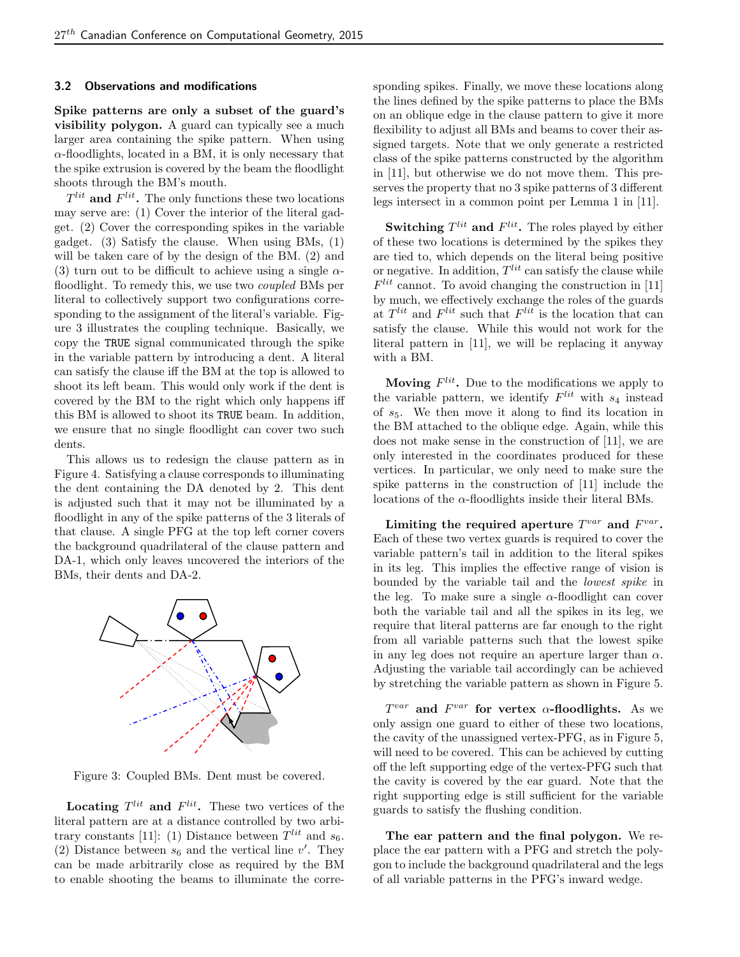## 3.2 Observations and modifications

Spike patterns are only a subset of the guard's visibility polygon. A guard can typically see a much larger area containing the spike pattern. When using  $\alpha$ -floodlights, located in a BM, it is only necessary that the spike extrusion is covered by the beam the floodlight shoots through the BM's mouth.

 $T^{lit}$  and  $F^{lit}$ . The only functions these two locations may serve are: (1) Cover the interior of the literal gadget. (2) Cover the corresponding spikes in the variable gadget. (3) Satisfy the clause. When using BMs, (1) will be taken care of by the design of the BM. (2) and (3) turn out to be difficult to achieve using a single  $\alpha$ floodlight. To remedy this, we use two coupled BMs per literal to collectively support two configurations corresponding to the assignment of the literal's variable. Figure 3 illustrates the coupling technique. Basically, we copy the TRUE signal communicated through the spike in the variable pattern by introducing a dent. A literal can satisfy the clause iff the BM at the top is allowed to shoot its left beam. This would only work if the dent is covered by the BM to the right which only happens iff this BM is allowed to shoot its TRUE beam. In addition, we ensure that no single floodlight can cover two such dents.

This allows us to redesign the clause pattern as in Figure 4. Satisfying a clause corresponds to illuminating the dent containing the DA denoted by 2. This dent is adjusted such that it may not be illuminated by a floodlight in any of the spike patterns of the 3 literals of that clause. A single PFG at the top left corner covers the background quadrilateral of the clause pattern and DA-1, which only leaves uncovered the interiors of the BMs, their dents and DA-2.



Figure 3: Coupled BMs. Dent must be covered.

**Locating**  $T^{lit}$  and  $F^{lit}$ . These two vertices of the literal pattern are at a distance controlled by two arbitrary constants [11]: (1) Distance between  $T^{lit}$  and  $s_6$ . (2) Distance between  $s_6$  and the vertical line  $v'$ . They can be made arbitrarily close as required by the BM to enable shooting the beams to illuminate the corresponding spikes. Finally, we move these locations along the lines defined by the spike patterns to place the BMs on an oblique edge in the clause pattern to give it more flexibility to adjust all BMs and beams to cover their assigned targets. Note that we only generate a restricted class of the spike patterns constructed by the algorithm in [11], but otherwise we do not move them. This preserves the property that no 3 spike patterns of 3 different legs intersect in a common point per Lemma 1 in [11].

**Switching**  $T^{lit}$  and  $F^{lit}$ . The roles played by either of these two locations is determined by the spikes they are tied to, which depends on the literal being positive or negative. In addition,  $T^{lit}$  can satisfy the clause while  $F^{lit}$  cannot. To avoid changing the construction in [11] by much, we effectively exchange the roles of the guards at  $T^{lit}$  and  $F^{lit}$  such that  $F^{lit}$  is the location that can satisfy the clause. While this would not work for the literal pattern in [11], we will be replacing it anyway with a BM.

**Moving**  $F^{lit}$ . Due to the modifications we apply to the variable pattern, we identify  $F^{lit}$  with  $s_4$  instead of  $s_5$ . We then move it along to find its location in the BM attached to the oblique edge. Again, while this does not make sense in the construction of [11], we are only interested in the coordinates produced for these vertices. In particular, we only need to make sure the spike patterns in the construction of [11] include the locations of the  $\alpha$ -floodlights inside their literal BMs.

Limiting the required aperture  $T^{var}$  and  $F^{var}$ . Each of these two vertex guards is required to cover the variable pattern's tail in addition to the literal spikes in its leg. This implies the effective range of vision is bounded by the variable tail and the lowest spike in the leg. To make sure a single  $\alpha$ -floodlight can cover both the variable tail and all the spikes in its leg, we require that literal patterns are far enough to the right from all variable patterns such that the lowest spike in any leg does not require an aperture larger than  $\alpha$ . Adjusting the variable tail accordingly can be achieved by stretching the variable pattern as shown in Figure 5.

 $T^{var}$  and  $F^{var}$  for vertex  $\alpha$ -floodlights. As we only assign one guard to either of these two locations, the cavity of the unassigned vertex-PFG, as in Figure 5, will need to be covered. This can be achieved by cutting off the left supporting edge of the vertex-PFG such that the cavity is covered by the ear guard. Note that the right supporting edge is still sufficient for the variable guards to satisfy the flushing condition.

The ear pattern and the final polygon. We replace the ear pattern with a PFG and stretch the polygon to include the background quadrilateral and the legs of all variable patterns in the PFG's inward wedge.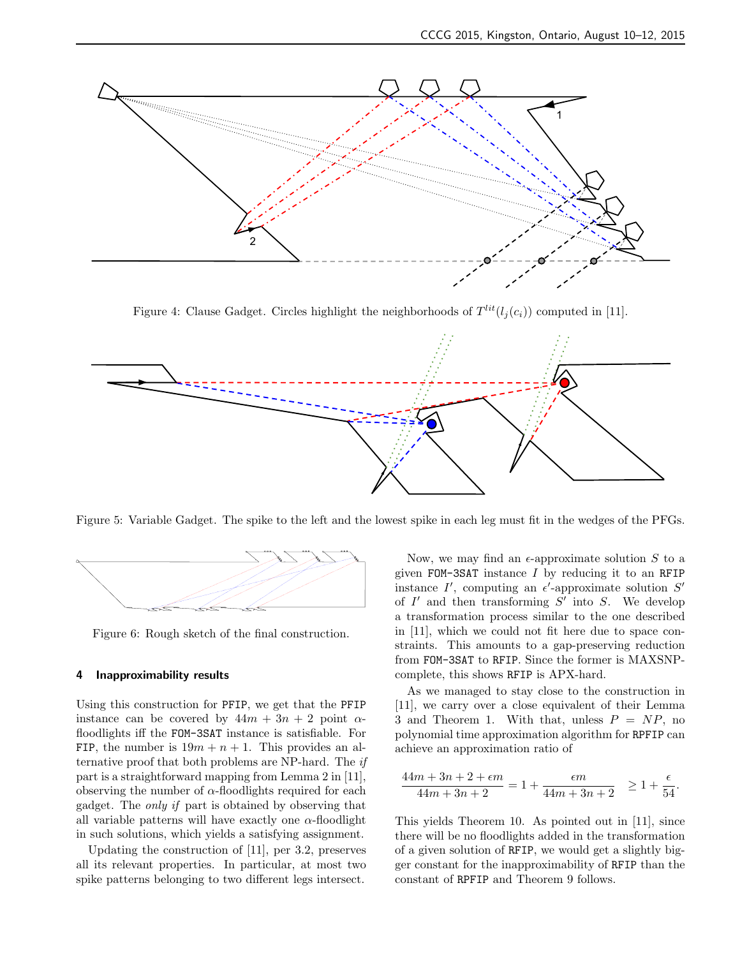

Figure 4: Clause Gadget. Circles highlight the neighborhoods of  $T^{lit}(l_j(c_i))$  computed in [11].



Figure 5: Variable Gadget. The spike to the left and the lowest spike in each leg must fit in the wedges of the PFGs.



Figure 6: Rough sketch of the final construction.

#### 4 Inapproximability results

Using this construction for PFIP, we get that the PFIP instance can be covered by  $44m + 3n + 2$  point  $\alpha$ floodlights iff the FOM-3SAT instance is satisfiable. For FIP, the number is  $19m + n + 1$ . This provides an alternative proof that both problems are NP-hard. The if part is a straightforward mapping from Lemma 2 in [11], observing the number of  $\alpha$ -floodlights required for each gadget. The only if part is obtained by observing that all variable patterns will have exactly one  $\alpha$ -floodlight in such solutions, which yields a satisfying assignment.

Updating the construction of [11], per 3.2, preserves all its relevant properties. In particular, at most two spike patterns belonging to two different legs intersect.

Now, we may find an  $\epsilon$ -approximate solution S to a given FOM-3SAT instance  $I$  by reducing it to an RFIP instance  $I'$ , computing an  $\epsilon'$ -approximate solution  $S'$ of  $I'$  and then transforming  $S'$  into  $S$ . We develop a transformation process similar to the one described in [11], which we could not fit here due to space constraints. This amounts to a gap-preserving reduction from FOM-3SAT to RFIP. Since the former is MAXSNPcomplete, this shows RFIP is APX-hard.

As we managed to stay close to the construction in [11], we carry over a close equivalent of their Lemma 3 and Theorem 1. With that, unless  $P = NP$ , no polynomial time approximation algorithm for RPFIP can achieve an approximation ratio of

$$
\frac{44m + 3n + 2 + \epsilon m}{44m + 3n + 2} = 1 + \frac{\epsilon m}{44m + 3n + 2} \ge 1 + \frac{\epsilon}{54}.
$$

This yields Theorem 10. As pointed out in [11], since there will be no floodlights added in the transformation of a given solution of RFIP, we would get a slightly bigger constant for the inapproximability of RFIP than the constant of RPFIP and Theorem 9 follows.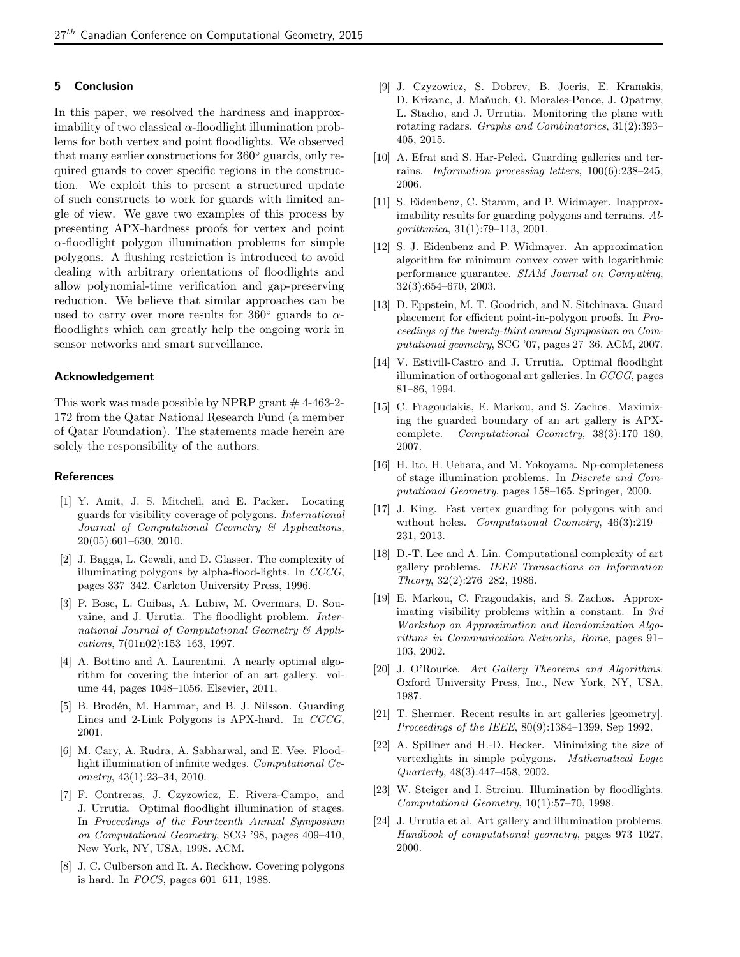# 5 Conclusion

In this paper, we resolved the hardness and inapproximability of two classical  $\alpha$ -floodlight illumination problems for both vertex and point floodlights. We observed that many earlier constructions for 360◦ guards, only required guards to cover specific regions in the construction. We exploit this to present a structured update of such constructs to work for guards with limited angle of view. We gave two examples of this process by presenting APX-hardness proofs for vertex and point  $\alpha$ -floodlight polygon illumination problems for simple polygons. A flushing restriction is introduced to avoid dealing with arbitrary orientations of floodlights and allow polynomial-time verification and gap-preserving reduction. We believe that similar approaches can be used to carry over more results for  $360°$  guards to  $\alpha$ floodlights which can greatly help the ongoing work in sensor networks and smart surveillance.

## Acknowledgement

This work was made possible by NPRP grant  $#$  4-463-2-172 from the Qatar National Research Fund (a member of Qatar Foundation). The statements made herein are solely the responsibility of the authors.

## References

- [1] Y. Amit, J. S. Mitchell, and E. Packer. Locating guards for visibility coverage of polygons. International Journal of Computational Geometry & Applications, 20(05):601–630, 2010.
- [2] J. Bagga, L. Gewali, and D. Glasser. The complexity of illuminating polygons by alpha-flood-lights. In CCCG, pages 337–342. Carleton University Press, 1996.
- [3] P. Bose, L. Guibas, A. Lubiw, M. Overmars, D. Souvaine, and J. Urrutia. The floodlight problem. International Journal of Computational Geometry & Applications, 7(01n02):153–163, 1997.
- [4] A. Bottino and A. Laurentini. A nearly optimal algorithm for covering the interior of an art gallery. volume 44, pages 1048–1056. Elsevier, 2011.
- [5] B. Brodén, M. Hammar, and B. J. Nilsson. Guarding Lines and 2-Link Polygons is APX-hard. In CCCG, 2001.
- [6] M. Cary, A. Rudra, A. Sabharwal, and E. Vee. Floodlight illumination of infinite wedges. Computational Geometry, 43(1):23–34, 2010.
- [7] F. Contreras, J. Czyzowicz, E. Rivera-Campo, and J. Urrutia. Optimal floodlight illumination of stages. In Proceedings of the Fourteenth Annual Symposium on Computational Geometry, SCG '98, pages 409–410, New York, NY, USA, 1998. ACM.
- [8] J. C. Culberson and R. A. Reckhow. Covering polygons is hard. In FOCS, pages 601–611, 1988.
- [9] J. Czyzowicz, S. Dobrev, B. Joeris, E. Kranakis, D. Krizanc, J. Maňuch, O. Morales-Ponce, J. Opatrny, L. Stacho, and J. Urrutia. Monitoring the plane with rotating radars. Graphs and Combinatorics, 31(2):393– 405, 2015.
- [10] A. Efrat and S. Har-Peled. Guarding galleries and terrains. Information processing letters, 100(6):238–245, 2006.
- [11] S. Eidenbenz, C. Stamm, and P. Widmayer. Inapproximability results for guarding polygons and terrains. Algorithmica, 31(1):79–113, 2001.
- [12] S. J. Eidenbenz and P. Widmayer. An approximation algorithm for minimum convex cover with logarithmic performance guarantee. SIAM Journal on Computing, 32(3):654–670, 2003.
- [13] D. Eppstein, M. T. Goodrich, and N. Sitchinava. Guard placement for efficient point-in-polygon proofs. In Proceedings of the twenty-third annual Symposium on Computational geometry, SCG '07, pages 27–36. ACM, 2007.
- [14] V. Estivill-Castro and J. Urrutia. Optimal floodlight illumination of orthogonal art galleries. In CCCG, pages 81–86, 1994.
- [15] C. Fragoudakis, E. Markou, and S. Zachos. Maximizing the guarded boundary of an art gallery is APXcomplete. Computational Geometry, 38(3):170–180, 2007.
- [16] H. Ito, H. Uehara, and M. Yokoyama. Np-completeness of stage illumination problems. In Discrete and Computational Geometry, pages 158–165. Springer, 2000.
- [17] J. King. Fast vertex guarding for polygons with and without holes. Computational Geometry,  $46(3):219$ 231, 2013.
- [18] D.-T. Lee and A. Lin. Computational complexity of art gallery problems. IEEE Transactions on Information Theory, 32(2):276–282, 1986.
- [19] E. Markou, C. Fragoudakis, and S. Zachos. Approximating visibility problems within a constant. In 3rd Workshop on Approximation and Randomization Algorithms in Communication Networks, Rome, pages 91– 103, 2002.
- [20] J. O'Rourke. Art Gallery Theorems and Algorithms. Oxford University Press, Inc., New York, NY, USA, 1987.
- [21] T. Shermer. Recent results in art galleries [geometry]. Proceedings of the IEEE, 80(9):1384–1399, Sep 1992.
- [22] A. Spillner and H.-D. Hecker. Minimizing the size of vertexlights in simple polygons. Mathematical Logic Quarterly, 48(3):447–458, 2002.
- [23] W. Steiger and I. Streinu. Illumination by floodlights. Computational Geometry, 10(1):57–70, 1998.
- [24] J. Urrutia et al. Art gallery and illumination problems. Handbook of computational geometry, pages 973–1027, 2000.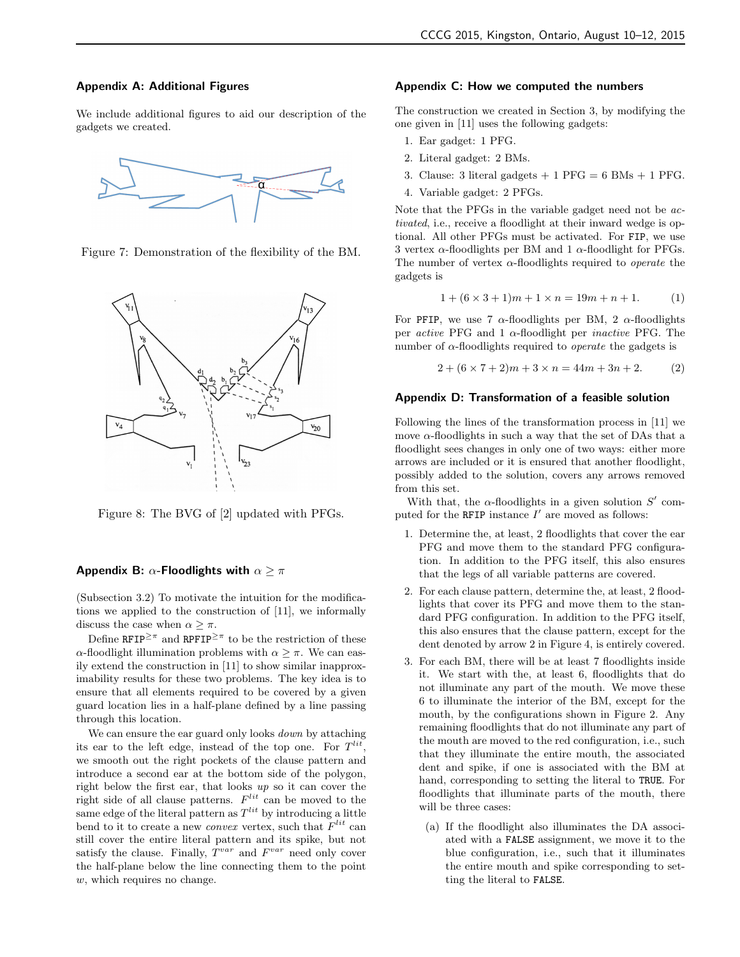## Appendix A: Additional Figures

We include additional figures to aid our description of the gadgets we created.



Figure 7: Demonstration of the flexibility of the BM.



Figure 8: The BVG of [2] updated with PFGs.

#### Appendix B:  $\alpha$ -Floodlights with  $\alpha \geq \pi$

(Subsection 3.2) To motivate the intuition for the modifications we applied to the construction of [11], we informally discuss the case when  $\alpha \geq \pi$ .

Define RFIP<sup> $\geq \pi$ </sup> and RPFIP<sup> $\geq \pi$ </sup> to be the restriction of these α-floodlight illumination problems with  $\alpha \geq \pi$ . We can easily extend the construction in [11] to show similar inapproximability results for these two problems. The key idea is to ensure that all elements required to be covered by a given guard location lies in a half-plane defined by a line passing through this location.

We can ensure the ear guard only looks *down* by attaching its ear to the left edge, instead of the top one. For  $T^{lit}$ , we smooth out the right pockets of the clause pattern and introduce a second ear at the bottom side of the polygon, right below the first ear, that looks up so it can cover the right side of all clause patterns.  $F^{lit}$  can be moved to the same edge of the literal pattern as  $T^{lit}$  by introducing a little bend to it to create a new *convex* vertex, such that  $F^{lit}$  can still cover the entire literal pattern and its spike, but not satisfy the clause. Finally,  $T^{var}$  and  $F^{var}$  need only cover the half-plane below the line connecting them to the point w, which requires no change.

## Appendix C: How we computed the numbers

The construction we created in Section 3, by modifying the one given in [11] uses the following gadgets:

- 1. Ear gadget: 1 PFG.
- 2. Literal gadget: 2 BMs.
- 3. Clause: 3 literal gadgets  $+1$  PFG = 6 BMs  $+1$  PFG.
- 4. Variable gadget: 2 PFGs.

Note that the PFGs in the variable gadget need not be activated, i.e., receive a floodlight at their inward wedge is optional. All other PFGs must be activated. For FIP, we use 3 vertex  $\alpha$ -floodlights per BM and 1  $\alpha$ -floodlight for PFGs. The number of vertex  $\alpha$ -floodlights required to *operate* the gadgets is

$$
1 + (6 \times 3 + 1)m + 1 \times n = 19m + n + 1. \tag{1}
$$

For PFIP, we use 7  $\alpha$ -floodlights per BM, 2  $\alpha$ -floodlights per *active* PFG and 1  $\alpha$ -floodlight per *inactive* PFG. The number of  $\alpha$ -floodlights required to *operate* the gadgets is

$$
2 + (6 \times 7 + 2)m + 3 \times n = 44m + 3n + 2. \tag{2}
$$

#### Appendix D: Transformation of a feasible solution

Following the lines of the transformation process in [11] we move  $\alpha$ -floodlights in such a way that the set of DAs that a floodlight sees changes in only one of two ways: either more arrows are included or it is ensured that another floodlight, possibly added to the solution, covers any arrows removed from this set.

With that, the  $\alpha$ -floodlights in a given solution  $S'$  computed for the RFIP instance  $I'$  are moved as follows:

- 1. Determine the, at least, 2 floodlights that cover the ear PFG and move them to the standard PFG configuration. In addition to the PFG itself, this also ensures that the legs of all variable patterns are covered.
- 2. For each clause pattern, determine the, at least, 2 floodlights that cover its PFG and move them to the standard PFG configuration. In addition to the PFG itself, this also ensures that the clause pattern, except for the dent denoted by arrow 2 in Figure 4, is entirely covered.
- 3. For each BM, there will be at least 7 floodlights inside it. We start with the, at least 6, floodlights that do not illuminate any part of the mouth. We move these 6 to illuminate the interior of the BM, except for the mouth, by the configurations shown in Figure 2. Any remaining floodlights that do not illuminate any part of the mouth are moved to the red configuration, i.e., such that they illuminate the entire mouth, the associated dent and spike, if one is associated with the BM at hand, corresponding to setting the literal to TRUE. For floodlights that illuminate parts of the mouth, there will be three cases:
	- (a) If the floodlight also illuminates the DA associated with a FALSE assignment, we move it to the blue configuration, i.e., such that it illuminates the entire mouth and spike corresponding to setting the literal to FALSE.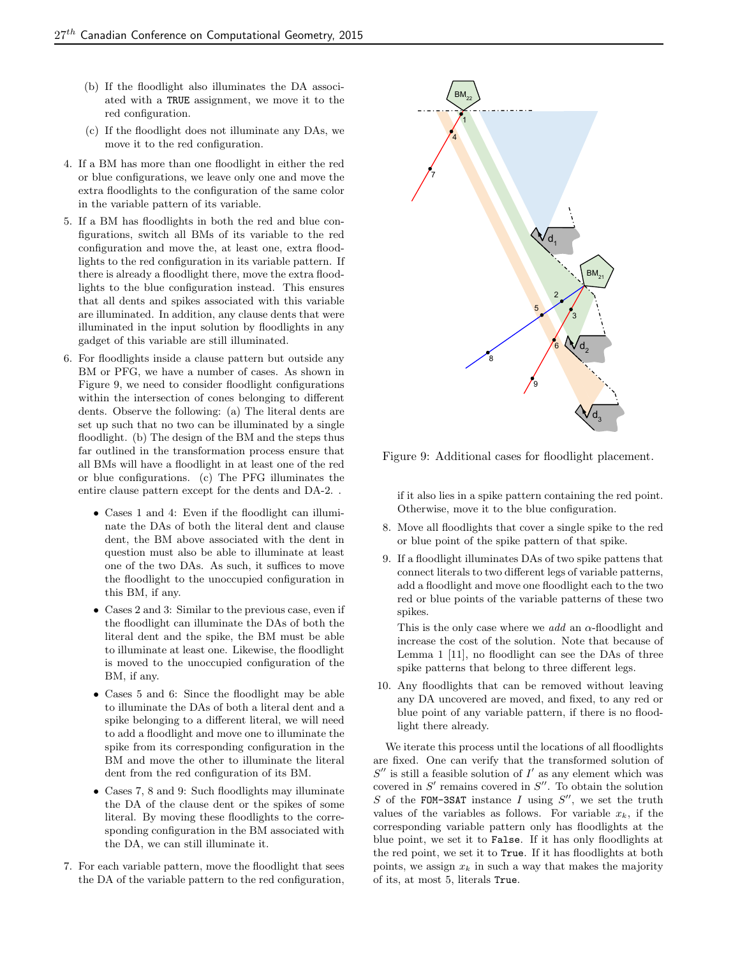- (b) If the floodlight also illuminates the DA associated with a TRUE assignment, we move it to the red configuration.
- (c) If the floodlight does not illuminate any DAs, we move it to the red configuration.
- 4. If a BM has more than one floodlight in either the red or blue configurations, we leave only one and move the extra floodlights to the configuration of the same color in the variable pattern of its variable.
- 5. If a BM has floodlights in both the red and blue configurations, switch all BMs of its variable to the red configuration and move the, at least one, extra floodlights to the red configuration in its variable pattern. If there is already a floodlight there, move the extra floodlights to the blue configuration instead. This ensures that all dents and spikes associated with this variable are illuminated. In addition, any clause dents that were illuminated in the input solution by floodlights in any gadget of this variable are still illuminated.
- 6. For floodlights inside a clause pattern but outside any BM or PFG, we have a number of cases. As shown in Figure 9, we need to consider floodlight configurations within the intersection of cones belonging to different dents. Observe the following: (a) The literal dents are set up such that no two can be illuminated by a single floodlight. (b) The design of the BM and the steps thus far outlined in the transformation process ensure that all BMs will have a floodlight in at least one of the red or blue configurations. (c) The PFG illuminates the entire clause pattern except for the dents and DA-2. .
	- Cases 1 and 4: Even if the floodlight can illuminate the DAs of both the literal dent and clause dent, the BM above associated with the dent in question must also be able to illuminate at least one of the two DAs. As such, it suffices to move the floodlight to the unoccupied configuration in this BM, if any.
	- Cases 2 and 3: Similar to the previous case, even if the floodlight can illuminate the DAs of both the literal dent and the spike, the BM must be able to illuminate at least one. Likewise, the floodlight is moved to the unoccupied configuration of the BM, if any.
	- Cases 5 and 6: Since the floodlight may be able to illuminate the DAs of both a literal dent and a spike belonging to a different literal, we will need to add a floodlight and move one to illuminate the spike from its corresponding configuration in the BM and move the other to illuminate the literal dent from the red configuration of its BM.
	- Cases 7, 8 and 9: Such floodlights may illuminate the DA of the clause dent or the spikes of some literal. By moving these floodlights to the corresponding configuration in the BM associated with the DA, we can still illuminate it.
- 7. For each variable pattern, move the floodlight that sees the DA of the variable pattern to the red configuration,



Figure 9: Additional cases for floodlight placement.

if it also lies in a spike pattern containing the red point. Otherwise, move it to the blue configuration.

- 8. Move all floodlights that cover a single spike to the red or blue point of the spike pattern of that spike.
- 9. If a floodlight illuminates DAs of two spike pattens that connect literals to two different legs of variable patterns, add a floodlight and move one floodlight each to the two red or blue points of the variable patterns of these two spikes.

This is the only case where we *add* an  $\alpha$ -floodlight and increase the cost of the solution. Note that because of Lemma 1 [11], no floodlight can see the DAs of three spike patterns that belong to three different legs.

10. Any floodlights that can be removed without leaving any DA uncovered are moved, and fixed, to any red or blue point of any variable pattern, if there is no floodlight there already.

We iterate this process until the locations of all floodlights are fixed. One can verify that the transformed solution of  $S''$  is still a feasible solution of  $I'$  as any element which was covered in  $S'$  remains covered in  $S''$ . To obtain the solution S of the FOM-3SAT instance  $I$  using  $S''$ , we set the truth values of the variables as follows. For variable  $x_k$ , if the corresponding variable pattern only has floodlights at the blue point, we set it to False. If it has only floodlights at the red point, we set it to True. If it has floodlights at both points, we assign  $x_k$  in such a way that makes the majority of its, at most 5, literals True.